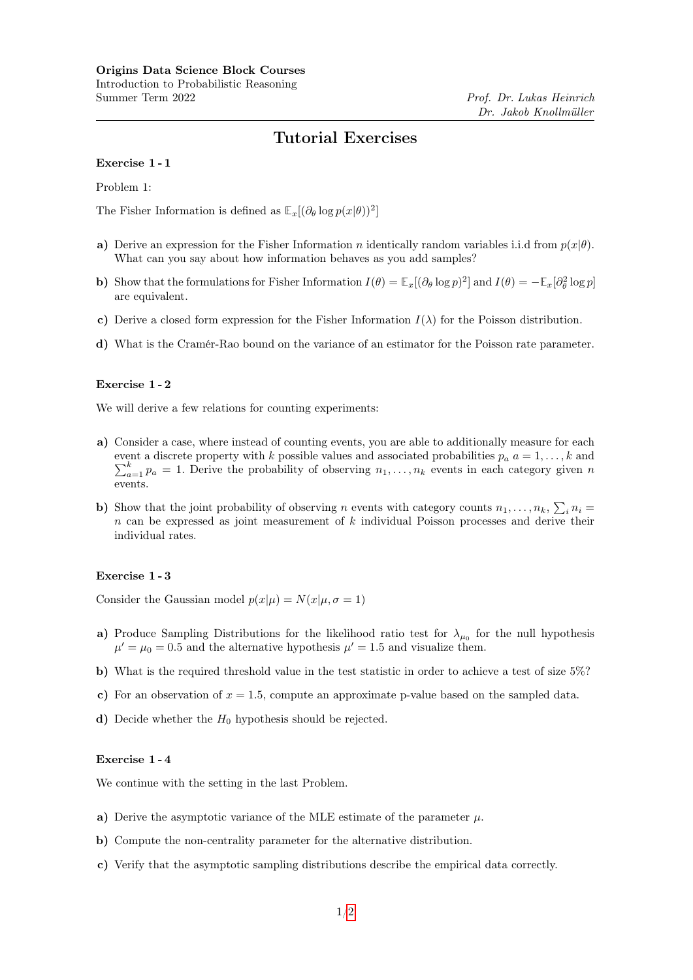# Tutorial Exercises

#### Exercise 1 - 1

Problem 1:

The Fisher Information is defined as  $\mathbb{E}_x[(\partial_\theta \log p(x|\theta))^2]$ 

- a) Derive an expression for the Fisher Information n identically random variables i.i.d from  $p(x|\theta)$ . What can you say about how information behaves as you add samples?
- b) Show that the formulations for Fisher Information  $I(\theta) = \mathbb{E}_x[(\partial_\theta \log p)^2]$  and  $I(\theta) = -\mathbb{E}_x[\partial_\theta^2 \log p]$ are equivalent.
- c) Derive a closed form expression for the Fisher Information  $I(\lambda)$  for the Poisson distribution.
- d) What is the Cramér-Rao bound on the variance of an estimator for the Poisson rate parameter.

### Exercise 1 - 2

We will derive a few relations for counting experiments:

- a) Consider a case, where instead of counting events, you are able to additionally measure for each  $\sum_{a=1}^{k} p_a = 1$ . Derive the probability of observing  $n_1, \ldots, n_k$  events in each category given n event a discrete property with k possible values and associated probabilities  $p_a$   $a = 1, \ldots, k$  and events.
- b) Show that the joint probability of observing n events with category counts  $n_1, \ldots, n_k$ ,  $\sum_i n_i =$  $n$  can be expressed as joint measurement of  $k$  individual Poisson processes and derive their individual rates.

## Exercise 1 - 3

Consider the Gaussian model  $p(x|\mu) = N(x|\mu, \sigma = 1)$ 

- a) Produce Sampling Distributions for the likelihood ratio test for  $\lambda_{\mu_0}$  for the null hypothesis  $\mu' = \mu_0 = 0.5$  and the alternative hypothesis  $\mu' = 1.5$  and visualize them.
- b) What is the required threshold value in the test statistic in order to achieve a test of size  $5\%$ ?
- c) For an observation of  $x = 1.5$ , compute an approximate p-value based on the sampled data.
- d) Decide whether the  $H_0$  hypothesis should be rejected.

## Exercise 1 - 4

We continue with the setting in the last Problem.

- a) Derive the asymptotic variance of the MLE estimate of the parameter  $\mu$ .
- b) Compute the non-centrality parameter for the alternative distribution.
- c) Verify that the asymptotic sampling distributions describe the empirical data correctly.